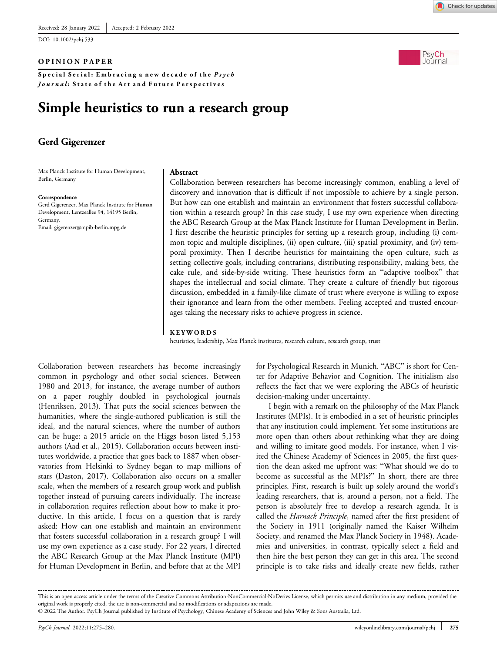DOI: 10.1002/pchj.533

### OPINION PAPER

Special Serial: Embracing a new decade of the Psych Journal: State of the Art and Future Perspectives

# Simple heuristics to run a research group

# Gerd Gigerenzer

Max Planck Institute for Human Development, Berlin, Germany

#### Correspondence

Gerd Gigerenzer, Max Planck Institute for Human Development, Lentzeallee 94, 14195 Berlin, Germany. Email: [gigerenzer@mpib-berlin.mpg.de](mailto:gigerenzer@mpib-berlin.mpg.de)

#### Abstract

Collaboration between researchers has become increasingly common, enabling a level of discovery and innovation that is difficult if not impossible to achieve by a single person. But how can one establish and maintain an environment that fosters successful collaboration within a research group? In this case study, I use my own experience when directing the ABC Research Group at the Max Planck Institute for Human Development in Berlin. I first describe the heuristic principles for setting up a research group, including (i) common topic and multiple disciplines, (ii) open culture, (iii) spatial proximity, and (iv) temporal proximity. Then I describe heuristics for maintaining the open culture, such as setting collective goals, including contrarians, distributing responsibility, making bets, the cake rule, and side-by-side writing. These heuristics form an "adaptive toolbox" that shapes the intellectual and social climate. They create a culture of friendly but rigorous discussion, embedded in a family-like climate of trust where everyone is willing to expose their ignorance and learn from the other members. Feeling accepted and trusted encourages taking the necessary risks to achieve progress in science.

#### KEYWORDS

heuristics, leadership, Max Planck institutes, research culture, research group, trust

Collaboration between researchers has become increasingly common in psychology and other social sciences. Between 1980 and 2013, for instance, the average number of authors on a paper roughly doubled in psychological journals (Henriksen, 2013). That puts the social sciences between the humanities, where the single-authored publication is still the ideal, and the natural sciences, where the number of authors can be huge: a 2015 article on the Higgs boson listed 5,153 authors (Aad et al., 2015). Collaboration occurs between institutes worldwide, a practice that goes back to 1887 when observatories from Helsinki to Sydney began to map millions of stars (Daston, 2017). Collaboration also occurs on a smaller scale, when the members of a research group work and publish together instead of pursuing careers individually. The increase in collaboration requires reflection about how to make it productive. In this article, I focus on a question that is rarely asked: How can one establish and maintain an environment that fosters successful collaboration in a research group? I will use my own experience as a case study. For 22 years, I directed the ABC Research Group at the Max Planck Institute (MPI) for Human Development in Berlin, and before that at the MPI

for Psychological Research in Munich. "ABC" is short for Center for Adaptive Behavior and Cognition. The initialism also reflects the fact that we were exploring the ABCs of heuristic decision-making under uncertainty.

I begin with a remark on the philosophy of the Max Planck Institutes (MPIs). It is embodied in a set of heuristic principles that any institution could implement. Yet some institutions are more open than others about rethinking what they are doing and willing to imitate good models. For instance, when I visited the Chinese Academy of Sciences in 2005, the first question the dean asked me upfront was: "What should we do to become as successful as the MPIs?" In short, there are three principles. First, research is built up solely around the world's leading researchers, that is, around a person, not a field. The person is absolutely free to develop a research agenda. It is called the *Harnack Principle*, named after the first president of the Society in 1911 (originally named the Kaiser Wilhelm Society, and renamed the Max Planck Society in 1948). Academies and universities, in contrast, typically select a field and then hire the best person they can get in this area. The second principle is to take risks and ideally create new fields, rather





This is an open access article under the terms of the [Creative Commons Attribution-NonCommercial-NoDerivs](http://creativecommons.org/licenses/by-nc-nd/4.0/) License, which permits use and distribution in any medium, provided the original work is properly cited, the use is non-commercial and no modifications or adaptations are made.

<sup>© 2022</sup> The Author. PsyCh Journal published by Institute of Psychology, Chinese Academy of Sciences and John Wiley & Sons Australia, Ltd.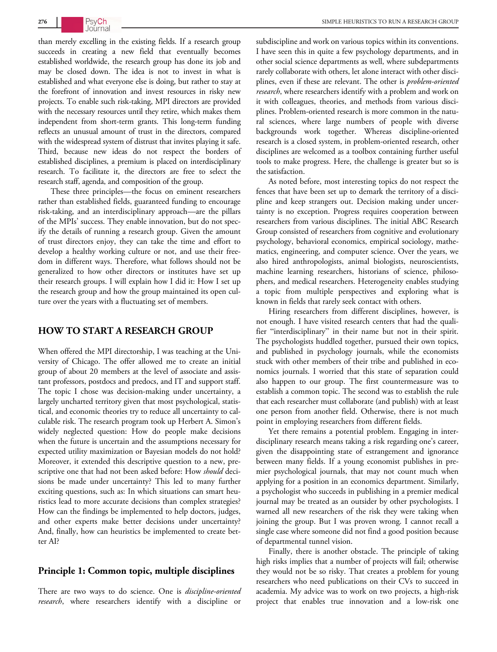than merely excelling in the existing fields. If a research group succeeds in creating a new field that eventually becomes established worldwide, the research group has done its job and may be closed down. The idea is not to invest in what is established and what everyone else is doing, but rather to stay at the forefront of innovation and invest resources in risky new projects. To enable such risk-taking, MPI directors are provided with the necessary resources until they retire, which makes them independent from short-term grants. This long-term funding reflects an unusual amount of trust in the directors, compared with the widespread system of distrust that invites playing it safe. Third, because new ideas do not respect the borders of established disciplines, a premium is placed on interdisciplinary research. To facilitate it, the directors are free to select the research staff, agenda, and composition of the group.

These three principles—the focus on eminent researchers rather than established fields, guaranteed funding to encourage risk-taking, and an interdisciplinary approach—are the pillars of the MPIs' success. They enable innovation, but do not specify the details of running a research group. Given the amount of trust directors enjoy, they can take the time and effort to develop a healthy working culture or not, and use their freedom in different ways. Therefore, what follows should not be generalized to how other directors or institutes have set up their research groups. I will explain how I did it: How I set up the research group and how the group maintained its open culture over the years with a fluctuating set of members.

# HOW TO START A RESEARCH GROUP

When offered the MPI directorship, I was teaching at the University of Chicago. The offer allowed me to create an initial group of about 20 members at the level of associate and assistant professors, postdocs and predocs, and IT and support staff. The topic I chose was decision-making under uncertainty, a largely uncharted territory given that most psychological, statistical, and economic theories try to reduce all uncertainty to calculable risk. The research program took up Herbert A. Simon's widely neglected question: How do people make decisions when the future is uncertain and the assumptions necessary for expected utility maximization or Bayesian models do not hold? Moreover, it extended this descriptive question to a new, prescriptive one that had not been asked before: How should decisions be made under uncertainty? This led to many further exciting questions, such as: In which situations can smart heuristics lead to more accurate decisions than complex strategies? How can the findings be implemented to help doctors, judges, and other experts make better decisions under uncertainty? And, finally, how can heuristics be implemented to create better AI?

## Principle 1: Common topic, multiple disciplines

There are two ways to do science. One is *discipline-oriented* research, where researchers identify with a discipline or

subdiscipline and work on various topics within its conventions. I have seen this in quite a few psychology departments, and in other social science departments as well, where subdepartments rarely collaborate with others, let alone interact with other disciplines, even if these are relevant. The other is problem-oriented research, where researchers identify with a problem and work on it with colleagues, theories, and methods from various disciplines. Problem-oriented research is more common in the natural sciences, where large numbers of people with diverse backgrounds work together. Whereas discipline-oriented research is a closed system, in problem-oriented research, other disciplines are welcomed as a toolbox containing further useful tools to make progress. Here, the challenge is greater but so is the satisfaction.

As noted before, most interesting topics do not respect the fences that have been set up to demark the territory of a discipline and keep strangers out. Decision making under uncertainty is no exception. Progress requires cooperation between researchers from various disciplines. The initial ABC Research Group consisted of researchers from cognitive and evolutionary psychology, behavioral economics, empirical sociology, mathematics, engineering, and computer science. Over the years, we also hired anthropologists, animal biologists, neuroscientists, machine learning researchers, historians of science, philosophers, and medical researchers. Heterogeneity enables studying a topic from multiple perspectives and exploring what is known in fields that rarely seek contact with others.

Hiring researchers from different disciplines, however, is not enough. I have visited research centers that had the qualifier "interdisciplinary" in their name but not in their spirit. The psychologists huddled together, pursued their own topics, and published in psychology journals, while the economists stuck with other members of their tribe and published in economics journals. I worried that this state of separation could also happen to our group. The first countermeasure was to establish a common topic. The second was to establish the rule that each researcher must collaborate (and publish) with at least one person from another field. Otherwise, there is not much point in employing researchers from different fields.

Yet there remains a potential problem. Engaging in interdisciplinary research means taking a risk regarding one's career, given the disappointing state of estrangement and ignorance between many fields. If a young economist publishes in premier psychological journals, that may not count much when applying for a position in an economics department. Similarly, a psychologist who succeeds in publishing in a premier medical journal may be treated as an outsider by other psychologists. I warned all new researchers of the risk they were taking when joining the group. But I was proven wrong. I cannot recall a single case where someone did not find a good position because of departmental tunnel vision.

Finally, there is another obstacle. The principle of taking high risks implies that a number of projects will fail; otherwise they would not be so risky. That creates a problem for young researchers who need publications on their CVs to succeed in academia. My advice was to work on two projects, a high-risk project that enables true innovation and a low-risk one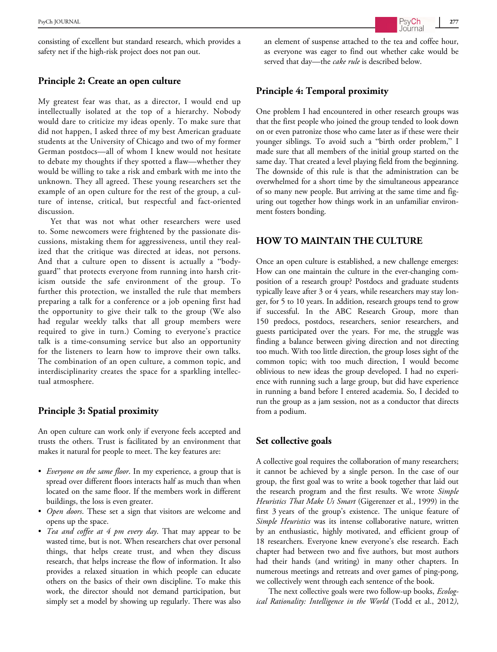consisting of excellent but standard research, which provides a safety net if the high-risk project does not pan out.

#### Principle 2: Create an open culture

My greatest fear was that, as a director, I would end up intellectually isolated at the top of a hierarchy. Nobody would dare to criticize my ideas openly. To make sure that did not happen, I asked three of my best American graduate students at the University of Chicago and two of my former German postdocs—all of whom I knew would not hesitate to debate my thoughts if they spotted a flaw—whether they would be willing to take a risk and embark with me into the unknown. They all agreed. These young researchers set the example of an open culture for the rest of the group, a culture of intense, critical, but respectful and fact-oriented discussion.

Yet that was not what other researchers were used to. Some newcomers were frightened by the passionate discussions, mistaking them for aggressiveness, until they realized that the critique was directed at ideas, not persons. And that a culture open to dissent is actually a "bodyguard" that protects everyone from running into harsh criticism outside the safe environment of the group. To further this protection, we installed the rule that members preparing a talk for a conference or a job opening first had the opportunity to give their talk to the group (We also had regular weekly talks that all group members were required to give in turn.) Coming to everyone's practice talk is a time-consuming service but also an opportunity for the listeners to learn how to improve their own talks. The combination of an open culture, a common topic, and interdisciplinarity creates the space for a sparkling intellectual atmosphere.

# Principle 3: Spatial proximity

An open culture can work only if everyone feels accepted and trusts the others. Trust is facilitated by an environment that makes it natural for people to meet. The key features are:

- Everyone on the same floor. In my experience, a group that is spread over different floors interacts half as much than when located on the same floor. If the members work in different buildings, the loss is even greater.
- Open doors. These set a sign that visitors are welcome and opens up the space.
- Tea and coffee at  $4 \, pm$  every day. That may appear to be wasted time, but is not. When researchers chat over personal things, that helps create trust, and when they discuss research, that helps increase the flow of information. It also provides a relaxed situation in which people can educate others on the basics of their own discipline. To make this work, the director should not demand participation, but simply set a model by showing up regularly. There was also

an element of suspense attached to the tea and coffee hour, as everyone was eager to find out whether cake would be served that day—the cake rule is described below.

## Principle 4: Temporal proximity

One problem I had encountered in other research groups was that the first people who joined the group tended to look down on or even patronize those who came later as if these were their younger siblings. To avoid such a "birth order problem," I made sure that all members of the initial group started on the same day. That created a level playing field from the beginning. The downside of this rule is that the administration can be overwhelmed for a short time by the simultaneous appearance of so many new people. But arriving at the same time and figuring out together how things work in an unfamiliar environment fosters bonding.

# HOW TO MAINTAIN THE CULTURE

Once an open culture is established, a new challenge emerges: How can one maintain the culture in the ever-changing composition of a research group? Postdocs and graduate students typically leave after 3 or 4 years, while researchers may stay longer, for 5 to 10 years. In addition, research groups tend to grow if successful. In the ABC Research Group, more than 150 predocs, postdocs, researchers, senior researchers, and guests participated over the years. For me, the struggle was finding a balance between giving direction and not directing too much. With too little direction, the group loses sight of the common topic; with too much direction, I would become oblivious to new ideas the group developed. I had no experience with running such a large group, but did have experience in running a band before I entered academia. So, I decided to run the group as a jam session, not as a conductor that directs from a podium.

#### Set collective goals

A collective goal requires the collaboration of many researchers; it cannot be achieved by a single person. In the case of our group, the first goal was to write a book together that laid out the research program and the first results. We wrote Simple Heuristics That Make Us Smart (Gigerenzer et al., 1999) in the first 3 years of the group's existence. The unique feature of Simple Heuristics was its intense collaborative nature, written by an enthusiastic, highly motivated, and efficient group of 18 researchers. Everyone knew everyone's else research. Each chapter had between two and five authors, but most authors had their hands (and writing) in many other chapters. In numerous meetings and retreats and over games of ping-pong, we collectively went through each sentence of the book.

The next collective goals were two follow-up books, Ecological Rationality: Intelligence in the World (Todd et al., 2012),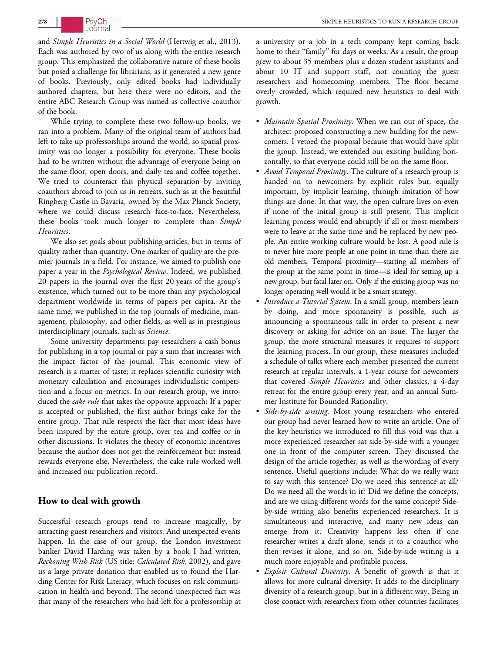and Simple Heuristics in a Social World (Hertwig et al., 2013). Each was authored by two of us along with the entire research group. This emphasized the collaborative nature of these books but posed a challenge for librarians, as it generated a new genre of books. Previously, only edited books had individually authored chapters, but here there were no editors, and the entire ABC Research Group was named as collective coauthor of the book.

While trying to complete these two follow-up books, we ran into a problem. Many of the original team of authors had left to take up professorships around the world, so spatial proximity was no longer a possibility for everyone. These books had to be written without the advantage of everyone being on the same floor, open doors, and daily tea and coffee together. We tried to counteract this physical separation by inviting coauthors abroad to join us in retreats, such as at the beautiful Ringberg Castle in Bavaria, owned by the Max Planck Society, where we could discuss research face-to-face. Nevertheless, these books took much longer to complete than Simple Heuristics.

We also set goals about publishing articles, but in terms of quality rather than quantity. One marker of quality are the premier journals in a field. For instance, we aimed to publish one paper a year in the Psychological Review. Indeed, we published 20 papers in the journal over the first 20 years of the group's existence, which turned out to be more than any psychological department worldwide in terms of papers per capita. At the same time, we published in the top journals of medicine, management, philosophy, and other fields, as well as in prestigious interdisciplinary journals, such as *Science*.

Some university departments pay researchers a cash bonus for publishing in a top journal or pay a sum that increases with the impact factor of the journal. This economic view of research is a matter of taste; it replaces scientific curiosity with monetary calculation and encourages individualistic competition and a focus on metrics. In our research group, we introduced the *cake rule* that takes the opposite approach: If a paper is accepted or published, the first author brings cake for the entire group. That rule respects the fact that most ideas have been inspired by the entire group, over tea and coffee or in other discussions. It violates the theory of economic incentives because the author does not get the reinforcement but instead rewards everyone else. Nevertheless, the cake rule worked well and increased our publication record.

# How to deal with growth

Successful research groups tend to increase magically, by attracting guest researchers and visitors. And unexpected events happen. In the case of our group, the London investment banker David Harding was taken by a book I had written, Reckoning With Risk (US title: Calculated Risk, 2002), and gave us a large private donation that enabled us to found the Harding Center for Risk Literacy, which focuses on risk communication in health and beyond. The second unexpected fact was that many of the researchers who had left for a professorship at a university or a job in a tech company kept coming back home to their "family" for days or weeks. As a result, the group grew to about 35 members plus a dozen student assistants and about 10 IT and support staff, not counting the guest researchers and homecoming members. The floor became overly crowded, which required new heuristics to deal with growth.

- *Maintain Spatial Proximity*. When we ran out of space, the architect proposed constructing a new building for the newcomers. I vetoed the proposal because that would have split the group. Instead, we extended our existing building horizontally, so that everyone could still be on the same floor.
- Avoid Temporal Proximity. The culture of a research group is handed on to newcomers by explicit rules but, equally important, by implicit learning, through imitation of how things are done. In that way, the open culture lives on even if none of the initial group is still present. This implicit learning process would end abruptly if all or most members were to leave at the same time and be replaced by new people. An entire working culture would be lost. A good rule is to never hire more people at one point in time than there are old members. Temporal proximity—starting all members of the group at the same point in time—is ideal for setting up a new group, but fatal later on. Only if the existing group was no longer operating well would it be a smart strategy.
- *Introduce a Tutorial System*. In a small group, members learn by doing, and more spontaneity is possible, such as announcing a spontaneous talk in order to present a new discovery or asking for advice on an issue. The larger the group, the more structural measures it requires to support the learning process. In our group, these measures included a schedule of talks where each member presented the current research at regular intervals, a 1-year course for newcomers that covered Simple Heuristics and other classics, a 4-day retreat for the entire group every year, and an annual Summer Institute for Bounded Rationality.
- Side-by-side writing. Most young researchers who entered our group had never learned how to write an article. One of the key heuristics we introduced to fill this void was that a more experienced researcher sat side-by-side with a younger one in front of the computer screen. They discussed the design of the article together, as well as the wording of every sentence. Useful questions include: What do we really want to say with this sentence? Do we need this sentence at all? Do we need all the words in it? Did we define the concepts, and are we using different words for the same concept? Sideby-side writing also benefits experienced researchers. It is simultaneous and interactive, and many new ideas can emerge from it. Creativity happens less often if one researcher writes a draft alone, sends it to a coauthor who then revises it alone, and so on. Side-by-side writing is a much more enjoyable and profitable process.
- Exploit Cultural Diversity. A benefit of growth is that it allows for more cultural diversity. It adds to the disciplinary diversity of a research group, but in a different way. Being in close contact with researchers from other countries facilitates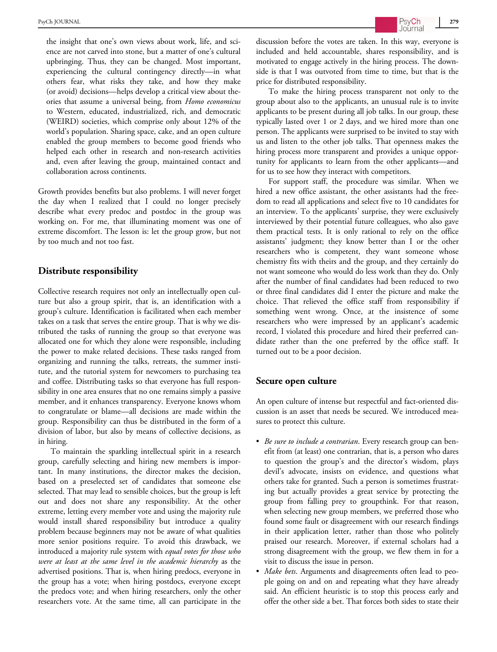the insight that one's own views about work, life, and science are not carved into stone, but a matter of one's cultural upbringing. Thus, they can be changed. Most important, experiencing the cultural contingency directly—in what others fear, what risks they take, and how they make (or avoid) decisions—helps develop a critical view about theories that assume a universal being, from Homo economicus to Western, educated, industrialized, rich, and democratic (WEIRD) societies, which comprise only about 12% of the world's population. Sharing space, cake, and an open culture enabled the group members to become good friends who helped each other in research and non-research activities and, even after leaving the group, maintained contact and collaboration across continents.

Growth provides benefits but also problems. I will never forget the day when I realized that I could no longer precisely describe what every predoc and postdoc in the group was working on. For me, that illuminating moment was one of extreme discomfort. The lesson is: let the group grow, but not by too much and not too fast.

# Distribute responsibility

Collective research requires not only an intellectually open culture but also a group spirit, that is, an identification with a group's culture. Identification is facilitated when each member takes on a task that serves the entire group. That is why we distributed the tasks of running the group so that everyone was allocated one for which they alone were responsible, including the power to make related decisions. These tasks ranged from organizing and running the talks, retreats, the summer institute, and the tutorial system for newcomers to purchasing tea and coffee. Distributing tasks so that everyone has full responsibility in one area ensures that no one remains simply a passive member, and it enhances transparency. Everyone knows whom to congratulate or blame—all decisions are made within the group. Responsibility can thus be distributed in the form of a division of labor, but also by means of collective decisions, as in hiring.

To maintain the sparkling intellectual spirit in a research group, carefully selecting and hiring new members is important. In many institutions, the director makes the decision, based on a preselected set of candidates that someone else selected. That may lead to sensible choices, but the group is left out and does not share any responsibility. At the other extreme, letting every member vote and using the majority rule would install shared responsibility but introduce a quality problem because beginners may not be aware of what qualities more senior positions require. To avoid this drawback, we introduced a majority rule system with equal votes for those who were at least at the same level in the academic hierarchy as the advertised positions. That is, when hiring predocs, everyone in the group has a vote; when hiring postdocs, everyone except the predocs vote; and when hiring researchers, only the other researchers vote. At the same time, all can participate in the

discussion before the votes are taken. In this way, everyone is included and held accountable, shares responsibility, and is motivated to engage actively in the hiring process. The downside is that I was outvoted from time to time, but that is the price for distributed responsibility.

To make the hiring process transparent not only to the group about also to the applicants, an unusual rule is to invite applicants to be present during all job talks. In our group, these typically lasted over 1 or 2 days, and we hired more than one person. The applicants were surprised to be invited to stay with us and listen to the other job talks. That openness makes the hiring process more transparent and provides a unique opportunity for applicants to learn from the other applicants—and for us to see how they interact with competitors.

For support staff, the procedure was similar. When we hired a new office assistant, the other assistants had the freedom to read all applications and select five to 10 candidates for an interview. To the applicants' surprise, they were exclusively interviewed by their potential future colleagues, who also gave them practical tests. It is only rational to rely on the office assistants' judgment; they know better than I or the other researchers who is competent, they want someone whose chemistry fits with theirs and the group, and they certainly do not want someone who would do less work than they do. Only after the number of final candidates had been reduced to two or three final candidates did I enter the picture and make the choice. That relieved the office staff from responsibility if something went wrong. Once, at the insistence of some researchers who were impressed by an applicant's academic record, I violated this procedure and hired their preferred candidate rather than the one preferred by the office staff. It turned out to be a poor decision.

#### Secure open culture

An open culture of intense but respectful and fact-oriented discussion is an asset that needs be secured. We introduced measures to protect this culture.

- Be sure to include a contrarian. Every research group can benefit from (at least) one contrarian, that is, a person who dares to question the group's and the director's wisdom, plays devil's advocate, insists on evidence, and questions what others take for granted. Such a person is sometimes frustrating but actually provides a great service by protecting the group from falling prey to groupthink. For that reason, when selecting new group members, we preferred those who found some fault or disagreement with our research findings in their application letter, rather than those who politely praised our research. Moreover, if external scholars had a strong disagreement with the group, we flew them in for a visit to discuss the issue in person.
- Make bets. Arguments and disagreements often lead to people going on and on and repeating what they have already said. An efficient heuristic is to stop this process early and offer the other side a bet. That forces both sides to state their